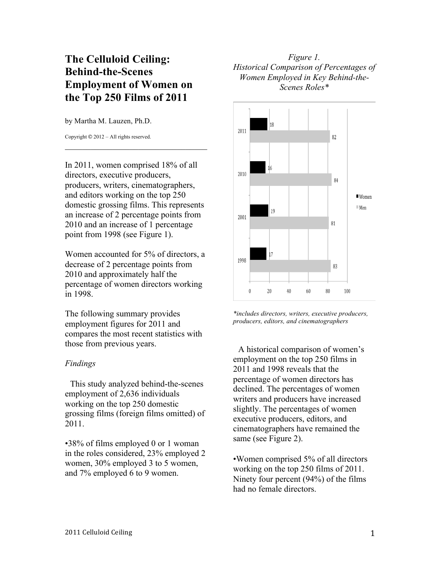## **The Celluloid Ceiling: Behind-the-Scenes Employment of Women on the Top 250 Films of 2011**

by Martha M. Lauzen, Ph.D.

Copyright © 2012 – All rights reserved.

In 2011, women comprised 18% of all directors, executive producers, producers, writers, cinematographers, and editors working on the top 250 domestic grossing films. This represents an increase of 2 percentage points from 2010 and an increase of 1 percentage point from 1998 (see Figure 1).

 $\mathcal{L}_\text{max}$  , where  $\mathcal{L}_\text{max}$  is the set of the set of the set of the set of the set of the set of the set of the set of the set of the set of the set of the set of the set of the set of the set of the set of the se

Women accounted for 5% of directors, a decrease of 2 percentage points from 2010 and approximately half the percentage of women directors working in 1998.

The following summary provides employment figures for 2011 and compares the most recent statistics with those from previous years.

## *Findings*

This study analyzed behind-the-scenes employment of 2,636 individuals working on the top 250 domestic grossing films (foreign films omitted) of 2011.

•38% of films employed 0 or 1 woman in the roles considered, 23% employed 2 women, 30% employed 3 to 5 women, and 7% employed 6 to 9 women.

## *Figure 1. Historical Comparison of Percentages of Women Employed in Key Behind-the-Scenes Roles\**



*\*includes directors, writers, executive producers, producers, editors, and cinematographers*

A historical comparison of women's employment on the top 250 films in 2011 and 1998 reveals that the percentage of women directors has declined. The percentages of women writers and producers have increased slightly. The percentages of women executive producers, editors, and cinematographers have remained the same (see Figure 2).

•Women comprised 5% of all directors working on the top 250 films of 2011. Ninety four percent (94%) of the films had no female directors.